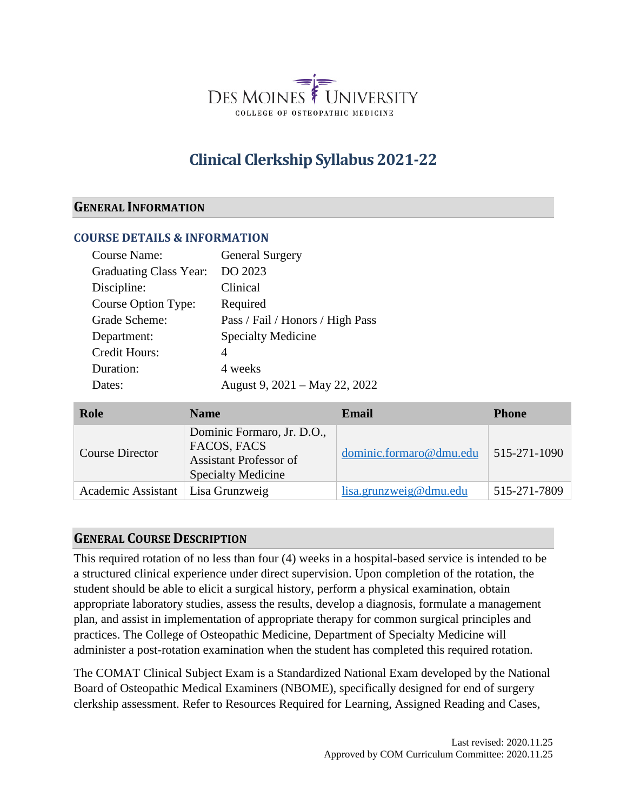

# **Clinical Clerkship Syllabus 2021-22**

#### **GENERAL INFORMATION**

#### **COURSE DETAILS & INFORMATION**

| <b>Course Name:</b>           | <b>General Surgery</b>           |
|-------------------------------|----------------------------------|
| <b>Graduating Class Year:</b> | DO 2023                          |
| Discipline:                   | Clinical                         |
| Course Option Type:           | Required                         |
| Grade Scheme:                 | Pass / Fail / Honors / High Pass |
| Department:                   | <b>Specialty Medicine</b>        |
| <b>Credit Hours:</b>          | 4                                |
| Duration:                     | 4 weeks                          |
| Dates:                        | August 9, 2021 – May 22, 2022    |

| Role                   | <b>Name</b>                                                                                             | Email                   | <b>Phone</b> |
|------------------------|---------------------------------------------------------------------------------------------------------|-------------------------|--------------|
| <b>Course Director</b> | Dominic Formaro, Jr. D.O.,<br>FACOS, FACS<br><b>Assistant Professor of</b><br><b>Specialty Medicine</b> | dominic.formaro@dmu.edu | 515-271-1090 |
| Academic Assistant     | Lisa Grunzweig                                                                                          | lisa.grunzweig@dmu.edu  | 515-271-7809 |

#### **GENERAL COURSE DESCRIPTION**

This required rotation of no less than four (4) weeks in a hospital-based service is intended to be a structured clinical experience under direct supervision. Upon completion of the rotation, the student should be able to elicit a surgical history, perform a physical examination, obtain appropriate laboratory studies, assess the results, develop a diagnosis, formulate a management plan, and assist in implementation of appropriate therapy for common surgical principles and practices. The College of Osteopathic Medicine, Department of Specialty Medicine will administer a post-rotation examination when the student has completed this required rotation.

The COMAT Clinical Subject Exam is a Standardized National Exam developed by the National Board of Osteopathic Medical Examiners (NBOME), specifically designed for end of surgery clerkship assessment. Refer to Resources Required for Learning, Assigned Reading and Cases,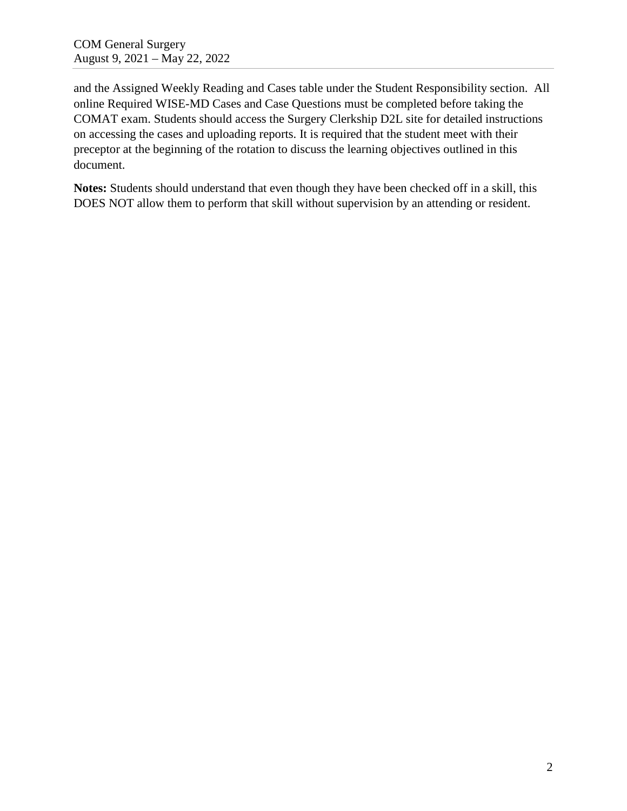and the Assigned Weekly Reading and Cases table under the Student Responsibility section. All online Required WISE-MD Cases and Case Questions must be completed before taking the COMAT exam. Students should access the Surgery Clerkship D2L site for detailed instructions on accessing the cases and uploading reports. It is required that the student meet with their preceptor at the beginning of the rotation to discuss the learning objectives outlined in this document.

**Notes:** Students should understand that even though they have been checked off in a skill, this DOES NOT allow them to perform that skill without supervision by an attending or resident.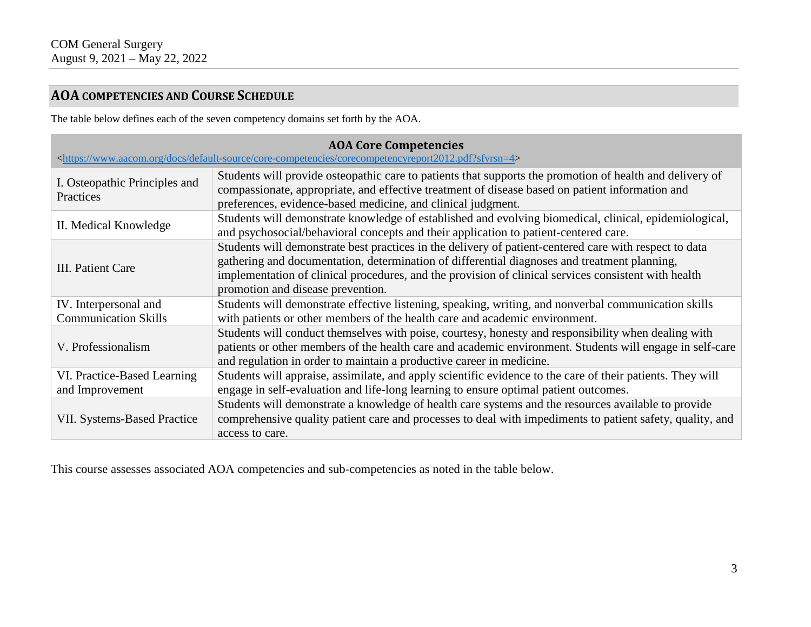# **AOA COMPETENCIES AND COURSE SCHEDULE**

The table below defines each of the seven competency domains set forth by the AOA.

| <b>AOA Core Competencies</b><br><https: core-competencies="" corecompetencyreport2012.pdf?sfvrsn="4" default-source="" docs="" www.aacom.org=""></https:> |                                                                                                                                                                                                                                                                                                                                                     |  |  |  |
|-----------------------------------------------------------------------------------------------------------------------------------------------------------|-----------------------------------------------------------------------------------------------------------------------------------------------------------------------------------------------------------------------------------------------------------------------------------------------------------------------------------------------------|--|--|--|
| I. Osteopathic Principles and<br>Practices                                                                                                                | Students will provide osteopathic care to patients that supports the promotion of health and delivery of<br>compassionate, appropriate, and effective treatment of disease based on patient information and<br>preferences, evidence-based medicine, and clinical judgment.                                                                         |  |  |  |
| II. Medical Knowledge                                                                                                                                     | Students will demonstrate knowledge of established and evolving biomedical, clinical, epidemiological,<br>and psychosocial/behavioral concepts and their application to patient-centered care.                                                                                                                                                      |  |  |  |
| III. Patient Care                                                                                                                                         | Students will demonstrate best practices in the delivery of patient-centered care with respect to data<br>gathering and documentation, determination of differential diagnoses and treatment planning,<br>implementation of clinical procedures, and the provision of clinical services consistent with health<br>promotion and disease prevention. |  |  |  |
| IV. Interpersonal and<br><b>Communication Skills</b>                                                                                                      | Students will demonstrate effective listening, speaking, writing, and nonverbal communication skills<br>with patients or other members of the health care and academic environment.                                                                                                                                                                 |  |  |  |
| V. Professionalism                                                                                                                                        | Students will conduct themselves with poise, courtesy, honesty and responsibility when dealing with<br>patients or other members of the health care and academic environment. Students will engage in self-care<br>and regulation in order to maintain a productive career in medicine.                                                             |  |  |  |
| VI. Practice-Based Learning<br>and Improvement                                                                                                            | Students will appraise, assimilate, and apply scientific evidence to the care of their patients. They will<br>engage in self-evaluation and life-long learning to ensure optimal patient outcomes.                                                                                                                                                  |  |  |  |
| <b>VII. Systems-Based Practice</b>                                                                                                                        | Students will demonstrate a knowledge of health care systems and the resources available to provide<br>comprehensive quality patient care and processes to deal with impediments to patient safety, quality, and<br>access to care.                                                                                                                 |  |  |  |

This course assesses associated AOA competencies and sub-competencies as noted in the table below.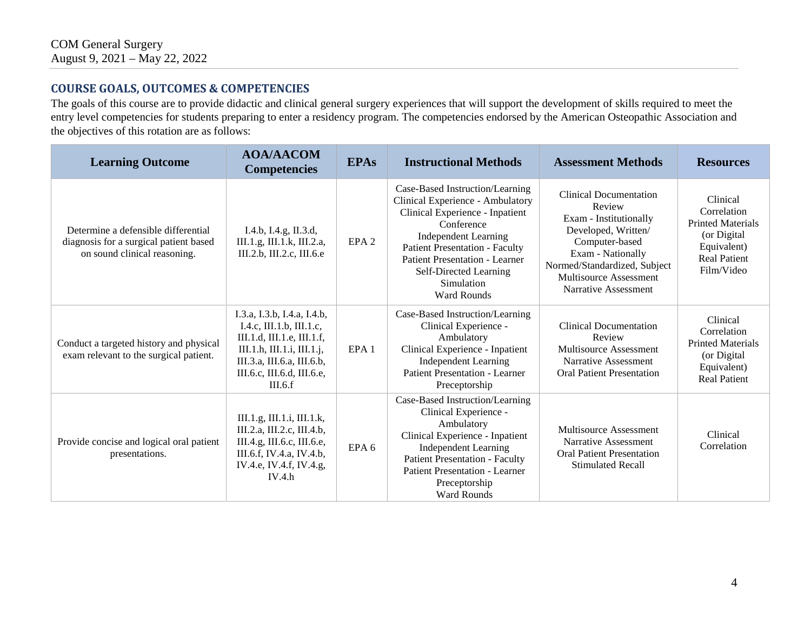### **COURSE GOALS, OUTCOMES & COMPETENCIES**

The goals of this course are to provide didactic and clinical general surgery experiences that will support the development of skills required to meet the entry level competencies for students preparing to enter a residency program. The competencies endorsed by the American Osteopathic Association and the objectives of this rotation are as follows:

| <b>Learning Outcome</b>                                                                                       | <b>AOA/AACOM</b><br><b>Competencies</b>                                                                                                                                                    | <b>EPAs</b>      | <b>Instructional Methods</b>                                                                                                                                                                                                                                                                        | <b>Assessment Methods</b>                                                                                                                                                                                         | <b>Resources</b>                                                                                                        |
|---------------------------------------------------------------------------------------------------------------|--------------------------------------------------------------------------------------------------------------------------------------------------------------------------------------------|------------------|-----------------------------------------------------------------------------------------------------------------------------------------------------------------------------------------------------------------------------------------------------------------------------------------------------|-------------------------------------------------------------------------------------------------------------------------------------------------------------------------------------------------------------------|-------------------------------------------------------------------------------------------------------------------------|
| Determine a defensible differential<br>diagnosis for a surgical patient based<br>on sound clinical reasoning. | I.4.b, I.4.g, II.3.d,<br>III.1.g, III.1.k, III.2.a,<br>III.2.b, III.2.c, III.6.e                                                                                                           | EPA <sub>2</sub> | Case-Based Instruction/Learning<br>Clinical Experience - Ambulatory<br>Clinical Experience - Inpatient<br>Conference<br><b>Independent Learning</b><br><b>Patient Presentation - Faculty</b><br><b>Patient Presentation - Learner</b><br>Self-Directed Learning<br>Simulation<br><b>Ward Rounds</b> | <b>Clinical Documentation</b><br>Review<br>Exam - Institutionally<br>Developed, Written/<br>Computer-based<br>Exam - Nationally<br>Normed/Standardized, Subject<br>Multisource Assessment<br>Narrative Assessment | Clinical<br>Correlation<br><b>Printed Materials</b><br>(or Digital)<br>Equivalent)<br><b>Real Patient</b><br>Film/Video |
| Conduct a targeted history and physical<br>exam relevant to the surgical patient.                             | I.3.a, I.3.b, I.4.a, I.4.b,<br>I.4.c, III.1.b, III.1.c,<br>III.1.d, III.1.e, III.1.f,<br>III.1.h, III.1.i, III.1.j,<br>III.3.a, III.6.a, III.6.b,<br>III.6.c, III.6.d, III.6.e,<br>III.6.f | EPA <sub>1</sub> | Case-Based Instruction/Learning<br>Clinical Experience -<br>Ambulatory<br>Clinical Experience - Inpatient<br><b>Independent Learning</b><br><b>Patient Presentation - Learner</b><br>Preceptorship                                                                                                  | <b>Clinical Documentation</b><br>Review<br>Multisource Assessment<br>Narrative Assessment<br><b>Oral Patient Presentation</b>                                                                                     | Clinical<br>Correlation<br><b>Printed Materials</b><br>(or Digital<br>Equivalent)<br><b>Real Patient</b>                |
| Provide concise and logical oral patient<br>presentations.                                                    | III.1.g, III.1.i, III.1.k,<br>III.2.a, III.2.c, III.4.b,<br>Ш.4.g, Ш.6.с, Ш.6.е,<br>III.6.f, IV.4.a, IV.4.b,<br>IV.4.e, IV.4.f, IV.4.g,<br>IV.4.h                                          | EPA <sub>6</sub> | Case-Based Instruction/Learning<br>Clinical Experience -<br>Ambulatory<br>Clinical Experience - Inpatient<br><b>Independent Learning</b><br><b>Patient Presentation - Faculty</b><br><b>Patient Presentation - Learner</b><br>Preceptorship<br><b>Ward Rounds</b>                                   | Multisource Assessment<br>Narrative Assessment<br><b>Oral Patient Presentation</b><br><b>Stimulated Recall</b>                                                                                                    | Clinical<br>Correlation                                                                                                 |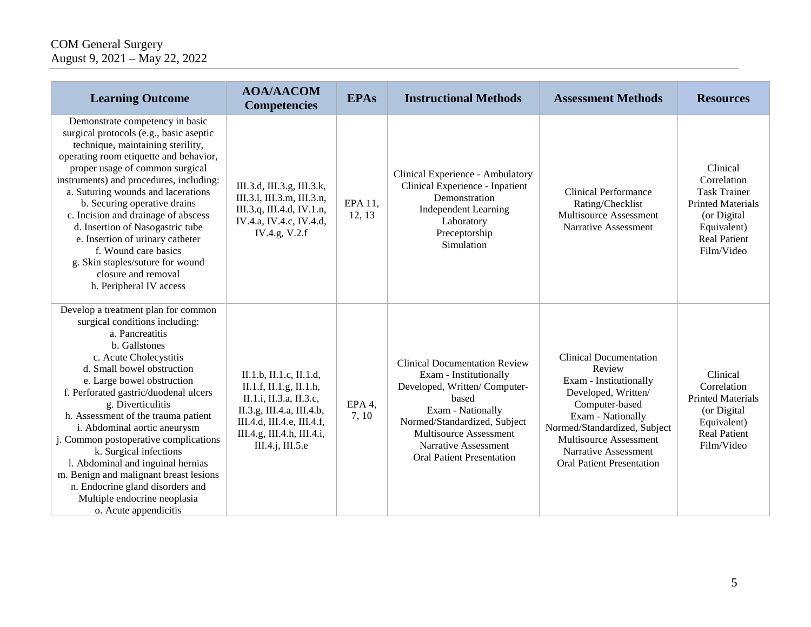| <b>Learning Outcome</b>                                                                                                                                                                                                                                                                                                                                                                                                                                                                                                                                                             | <b>AOA/AACOM</b><br><b>Competencies</b>                                                                                                                                                 | <b>EPAs</b>       | <b>Instructional Methods</b>                                                                                                                                                                                                                       | <b>Assessment Methods</b>                                                                                                                                                                                                                             | <b>Resources</b>                                                                                                                              |
|-------------------------------------------------------------------------------------------------------------------------------------------------------------------------------------------------------------------------------------------------------------------------------------------------------------------------------------------------------------------------------------------------------------------------------------------------------------------------------------------------------------------------------------------------------------------------------------|-----------------------------------------------------------------------------------------------------------------------------------------------------------------------------------------|-------------------|----------------------------------------------------------------------------------------------------------------------------------------------------------------------------------------------------------------------------------------------------|-------------------------------------------------------------------------------------------------------------------------------------------------------------------------------------------------------------------------------------------------------|-----------------------------------------------------------------------------------------------------------------------------------------------|
| Demonstrate competency in basic<br>surgical protocols (e.g., basic aseptic<br>technique, maintaining sterility,<br>operating room etiquette and behavior,<br>proper usage of common surgical<br>instruments) and procedures, including:<br>a. Suturing wounds and lacerations<br>b. Securing operative drains<br>c. Incision and drainage of abscess<br>d. Insertion of Nasogastric tube<br>e. Insertion of urinary catheter<br>f. Wound care basics<br>g. Skin staples/suture for wound<br>closure and removal<br>h. Peripheral IV access                                          | III.3.d, III.3.g, III.3.k,<br>III.3.1, III.3.m, III.3.n,<br>III.3.q, III.4.d, IV.1.n,<br>IV.4.a, IV.4.c, IV.4.d,<br>IV.4.g, V.2.f                                                       | EPA 11,<br>12, 13 | Clinical Experience - Ambulatory<br>Clinical Experience - Inpatient<br>Demonstration<br><b>Independent Learning</b><br>Laboratory<br>Preceptorship<br>Simulation                                                                                   | <b>Clinical Performance</b><br>Rating/Checklist<br>Multisource Assessment<br>Narrative Assessment                                                                                                                                                     | Clinical<br>Correlation<br><b>Task Trainer</b><br><b>Printed Materials</b><br>(or Digital<br>Equivalent)<br><b>Real Patient</b><br>Film/Video |
| Develop a treatment plan for common<br>surgical conditions including:<br>a. Pancreatitis<br>b. Gallstones<br>c. Acute Cholecystitis<br>d. Small bowel obstruction<br>e. Large bowel obstruction<br>f. Perforated gastric/duodenal ulcers<br>g. Diverticulitis<br>h. Assessment of the trauma patient<br>i. Abdominal aortic aneurysm<br>j. Common postoperative complications<br>k. Surgical infections<br>l. Abdominal and inguinal hernias<br>m. Benign and malignant breast lesions<br>n. Endocrine gland disorders and<br>Multiple endocrine neoplasia<br>o. Acute appendicitis | II.1.b, II.1.c, II.1.d,<br>II.1.f, II.1.g, II.1.h,<br>П.1.і, П.3.а, П.3.с,<br>II.3.g, III.4.a, III.4.b,<br>III.4.d, III.4.e, III.4.f,<br>III.4.g, III.4.h, III.4.i,<br>III.4.j, III.5.e | EPA 4,<br>7, 10   | <b>Clinical Documentation Review</b><br>Exam - Institutionally<br>Developed, Written/Computer-<br>based<br>Exam - Nationally<br>Normed/Standardized, Subject<br>Multisource Assessment<br>Narrative Assessment<br><b>Oral Patient Presentation</b> | <b>Clinical Documentation</b><br>Review<br>Exam - Institutionally<br>Developed, Written/<br>Computer-based<br>Exam - Nationally<br>Normed/Standardized, Subject<br>Multisource Assessment<br>Narrative Assessment<br><b>Oral Patient Presentation</b> | Clinical<br>Correlation<br><b>Printed Materials</b><br>(or Digital<br>Equivalent)<br><b>Real Patient</b><br>Film/Video                        |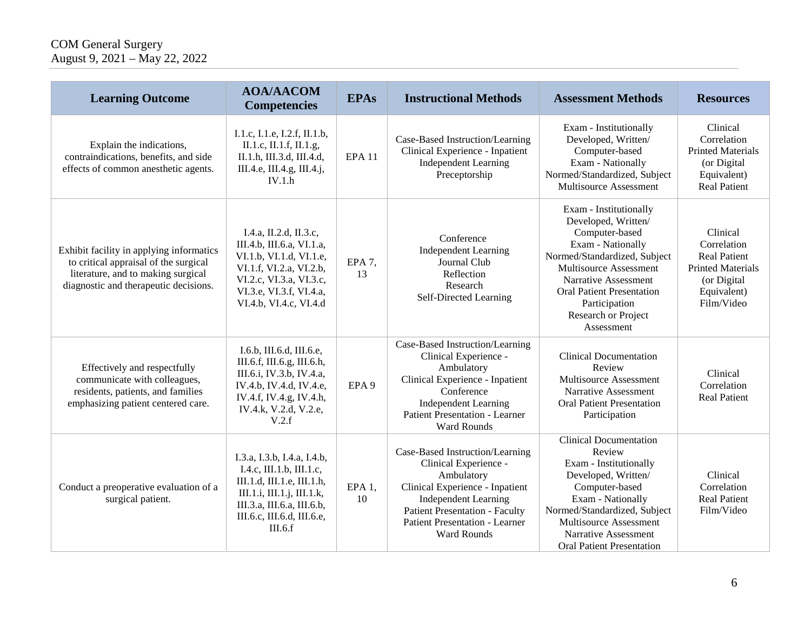| <b>Learning Outcome</b>                                                                                                                                          | <b>AOA/AACOM</b><br><b>Competencies</b>                                                                                                                                                    | <b>EPAs</b>              | <b>Instructional Methods</b>                                                                                                                                                                                                              | <b>Assessment Methods</b>                                                                                                                                                                                                                                        | <b>Resources</b>                                                                                                       |
|------------------------------------------------------------------------------------------------------------------------------------------------------------------|--------------------------------------------------------------------------------------------------------------------------------------------------------------------------------------------|--------------------------|-------------------------------------------------------------------------------------------------------------------------------------------------------------------------------------------------------------------------------------------|------------------------------------------------------------------------------------------------------------------------------------------------------------------------------------------------------------------------------------------------------------------|------------------------------------------------------------------------------------------------------------------------|
| Explain the indications,<br>contraindications, benefits, and side<br>effects of common anesthetic agents.                                                        | I.1.c, I.1.e, I.2.f, II.1.b,<br>II.1.c, II.1.f, II.1.g,<br>II.1.h, III.3.d, III.4.d,<br>III.4.e, III.4.g, III.4.j,<br>IV.1.h                                                               | <b>EPA 11</b>            | Case-Based Instruction/Learning<br>Clinical Experience - Inpatient<br><b>Independent Learning</b><br>Preceptorship                                                                                                                        | Exam - Institutionally<br>Developed, Written/<br>Computer-based<br>Exam - Nationally<br>Normed/Standardized, Subject<br>Multisource Assessment                                                                                                                   | Clinical<br>Correlation<br><b>Printed Materials</b><br>(or Digital<br>Equivalent)<br><b>Real Patient</b>               |
| Exhibit facility in applying informatics<br>to critical appraisal of the surgical<br>literature, and to making surgical<br>diagnostic and therapeutic decisions. | I.4.a, II.2.d, II.3.c,<br>III.4.b, III.6.a, VI.1.a,<br>VI.1.b, VI.1.d, VI.1.e,<br>VI.1.f, VI.2.a, VI.2.b,<br>VI.2.c, VI.3.a, VI.3.c,<br>VI.3.e, VI.3.f, VI.4.a,<br>VI.4.b, VI.4.c, VI.4.d  | EPA 7,<br>13             | Conference<br><b>Independent Learning</b><br>Journal Club<br>Reflection<br>Research<br>Self-Directed Learning                                                                                                                             | Exam - Institutionally<br>Developed, Written/<br>Computer-based<br>Exam - Nationally<br>Normed/Standardized, Subject<br>Multisource Assessment<br>Narrative Assessment<br><b>Oral Patient Presentation</b><br>Participation<br>Research or Project<br>Assessment | Clinical<br>Correlation<br><b>Real Patient</b><br><b>Printed Materials</b><br>(or Digital<br>Equivalent)<br>Film/Video |
| Effectively and respectfully<br>communicate with colleagues,<br>residents, patients, and families<br>emphasizing patient centered care.                          | I.6.b, III.6.d, III.6.e,<br>III.6.f, III.6.g, III.6.h,<br>III.6.i, IV.3.b, IV.4.a,<br>IV.4.b, IV.4.d, IV.4.e,<br>IV.4.f, IV.4.g, IV.4.h,<br>IV.4.k, V.2.d, V.2.e,<br>V.2.f                 | EPA <sub>9</sub>         | Case-Based Instruction/Learning<br>Clinical Experience -<br>Ambulatory<br>Clinical Experience - Inpatient<br>Conference<br><b>Independent Learning</b><br><b>Patient Presentation - Learner</b><br><b>Ward Rounds</b>                     | <b>Clinical Documentation</b><br>Review<br>Multisource Assessment<br>Narrative Assessment<br><b>Oral Patient Presentation</b><br>Participation                                                                                                                   | Clinical<br>Correlation<br><b>Real Patient</b>                                                                         |
| Conduct a preoperative evaluation of a<br>surgical patient.                                                                                                      | I.3.a, I.3.b, I.4.a, I.4.b,<br>I.4.c, III.1.b, III.1.c,<br>III.1.d, III.1.e, III.1.h,<br>III.1.i, III.1.j, III.1.k,<br>III.3.a, III.6.a, III.6.b,<br>III.6.c, III.6.d, III.6.e,<br>III.6.f | EPA <sub>1</sub> ,<br>10 | Case-Based Instruction/Learning<br>Clinical Experience -<br>Ambulatory<br>Clinical Experience - Inpatient<br><b>Independent Learning</b><br><b>Patient Presentation - Faculty</b><br><b>Patient Presentation - Learner</b><br>Ward Rounds | <b>Clinical Documentation</b><br>Review<br>Exam - Institutionally<br>Developed, Written/<br>Computer-based<br>Exam - Nationally<br>Normed/Standardized, Subject<br>Multisource Assessment<br>Narrative Assessment<br><b>Oral Patient Presentation</b>            | Clinical<br>Correlation<br><b>Real Patient</b><br>Film/Video                                                           |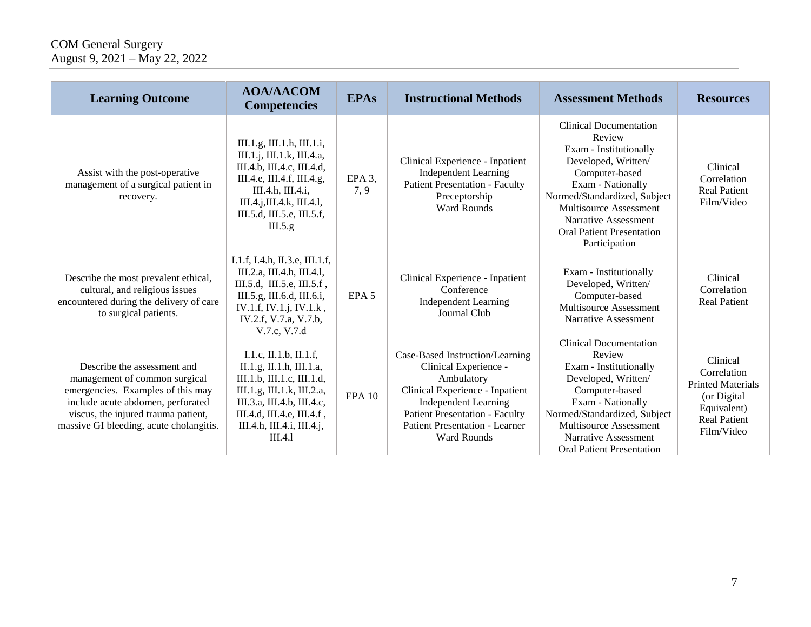| <b>Learning Outcome</b>                                                                                                                                                                                                  | <b>AOA/AACOM</b><br><b>Competencies</b>                                                                                                                                                                             | <b>EPAs</b>                | <b>Instructional Methods</b>                                                                                                                                                                                                                     | <b>Assessment Methods</b>                                                                                                                                                                                                                                              | <b>Resources</b>                                                                                                       |
|--------------------------------------------------------------------------------------------------------------------------------------------------------------------------------------------------------------------------|---------------------------------------------------------------------------------------------------------------------------------------------------------------------------------------------------------------------|----------------------------|--------------------------------------------------------------------------------------------------------------------------------------------------------------------------------------------------------------------------------------------------|------------------------------------------------------------------------------------------------------------------------------------------------------------------------------------------------------------------------------------------------------------------------|------------------------------------------------------------------------------------------------------------------------|
| Assist with the post-operative<br>management of a surgical patient in<br>recovery.                                                                                                                                       | III.1.g, III.1.h, III.1.i,<br>III.1.j, III.1.k, III.4.a,<br>III.4.b, III.4.c, III.4.d,<br>III.4.e, III.4.f, III.4.g,<br>III.4.h, III.4.i,<br>III.4.j, III.4.k, III.4.l,<br>III.5.d, III.5.e, III.5.f,<br>III.5.g.   | EPA <sub>3</sub> ,<br>7, 9 | Clinical Experience - Inpatient<br><b>Independent Learning</b><br><b>Patient Presentation - Faculty</b><br>Preceptorship<br><b>Ward Rounds</b>                                                                                                   | <b>Clinical Documentation</b><br>Review<br>Exam - Institutionally<br>Developed, Written/<br>Computer-based<br>Exam - Nationally<br>Normed/Standardized, Subject<br>Multisource Assessment<br>Narrative Assessment<br><b>Oral Patient Presentation</b><br>Participation | Clinical<br>Correlation<br><b>Real Patient</b><br>Film/Video                                                           |
| Describe the most prevalent ethical,<br>cultural, and religious issues<br>encountered during the delivery of care<br>to surgical patients.                                                                               | I.1.f, I.4.h, II.3.e, III.1.f,<br>III.2.a, III.4.h, III.4.l,<br>III.5.d, III.5.e, III.5.f,<br>III.5.g, III.6.d, III.6.i,<br>IV.1.f, IV.1.j, IV.1.k,<br>IV.2.f, V.7.a, V.7.b,<br>V.7.c, V.7.d                        | EPA <sub>5</sub>           | Clinical Experience - Inpatient<br>Conference<br><b>Independent Learning</b><br>Journal Club                                                                                                                                                     | Exam - Institutionally<br>Developed, Written/<br>Computer-based<br>Multisource Assessment<br>Narrative Assessment                                                                                                                                                      | Clinical<br>Correlation<br><b>Real Patient</b>                                                                         |
| Describe the assessment and<br>management of common surgical<br>emergencies. Examples of this may<br>include acute abdomen, perforated<br>viscus, the injured trauma patient,<br>massive GI bleeding, acute cholangitis. | I.1.c, II.1.b, II.1.f,<br>II.1.g, II.1.h, III.1.a,<br>III.1.b, III.1.c, III.1.d,<br>III.1.g, III.1.k, III.2.a,<br>III.3.a, III.4.b, III.4.c,<br>III.4.d, III.4.e, III.4.f,<br>III.4.h, III.4.i, III.4.j,<br>III.4.1 | <b>EPA 10</b>              | Case-Based Instruction/Learning<br>Clinical Experience -<br>Ambulatory<br>Clinical Experience - Inpatient<br><b>Independent Learning</b><br><b>Patient Presentation - Faculty</b><br><b>Patient Presentation - Learner</b><br><b>Ward Rounds</b> | <b>Clinical Documentation</b><br>Review<br>Exam - Institutionally<br>Developed, Written/<br>Computer-based<br>Exam - Nationally<br>Normed/Standardized, Subject<br>Multisource Assessment<br>Narrative Assessment<br><b>Oral Patient Presentation</b>                  | Clinical<br>Correlation<br><b>Printed Materials</b><br>(or Digital<br>Equivalent)<br><b>Real Patient</b><br>Film/Video |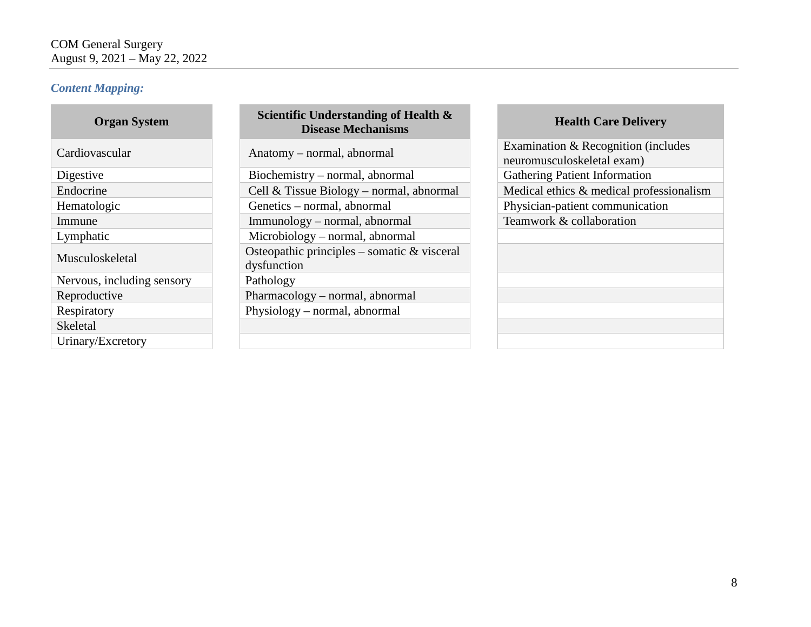#### *Content Mapping:*

| <b>Organ System</b>        |
|----------------------------|
| Cardiovascular             |
| Digestive                  |
| Endocrine                  |
| Hematologic                |
| Immune                     |
| Lymphatic                  |
| Musculoskeletal            |
| Nervous, including sensory |
| Reproductive               |
| Respiratory                |
| Skeletal                   |
| Urinary/Excretory          |

### **Scientific Understanding of Health & Disease Mechanisms Health Care Delivery**

Biochemistry – normal, abnormal Gathering Patient Information Genetics – normal, abnormal Physician-patient communication Immunology – normal, abnormal Teamwork & collaboration  $Microbiology - normal, abnormal$ Osteopathic principles – somatic  $&$  visceral dysfunction Pathology  $Pharmacology - normal, abnormal$ Physiology – normal, abnormal

Anatomy – normal, abnormal Examination & Recognition (includes neuromusculoskeletal exam) Cell & Tissue Biology – normal, abnormal Medical ethics & medical professionalism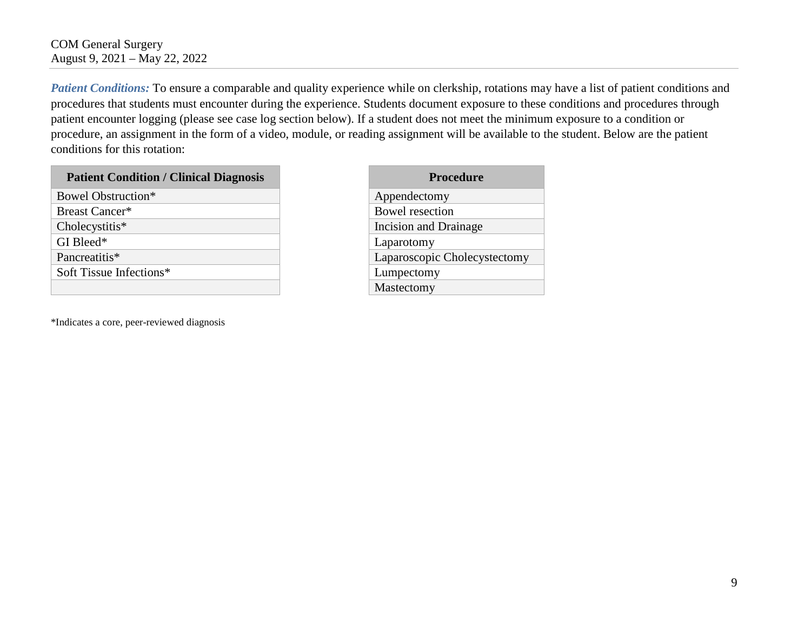*Patient Conditions:* To ensure a comparable and quality experience while on clerkship, rotations may have a list of patient conditions and procedures that students must encounter during the experience. Students document exposure to these conditions and procedures through patient encounter logging (please see case log section below). If a student does not meet the minimum exposure to a condition or procedure, an assignment in the form of a video, module, or reading assignment will be available to the student. Below are the patient conditions for this rotation:

#### **Patient Condition / Clinical Diagnosis**

| <b>Bowel Obstruction*</b>         | Appendectomy          |                              |
|-----------------------------------|-----------------------|------------------------------|
| Bowel resection<br>Breast Cancer* |                       |                              |
| Cholecystitis*                    | Incision and Drainage |                              |
| GI Bleed*                         |                       | Laparotomy                   |
| Pancreatitis*                     |                       | Laparoscopic Cholecystectomy |
| Soft Tissue Infections*           |                       | Lumpectomy                   |
|                                   |                       | Mastectomy                   |

\*Indicates a core, peer-reviewed diagnosis

| Procedure                    |
|------------------------------|
| Appendectomy                 |
| Bowel resection              |
| Incision and Drainage        |
| Laparotomy                   |
| Laparoscopic Cholecystectomy |
| Lumpectomy                   |
| Mastectomy                   |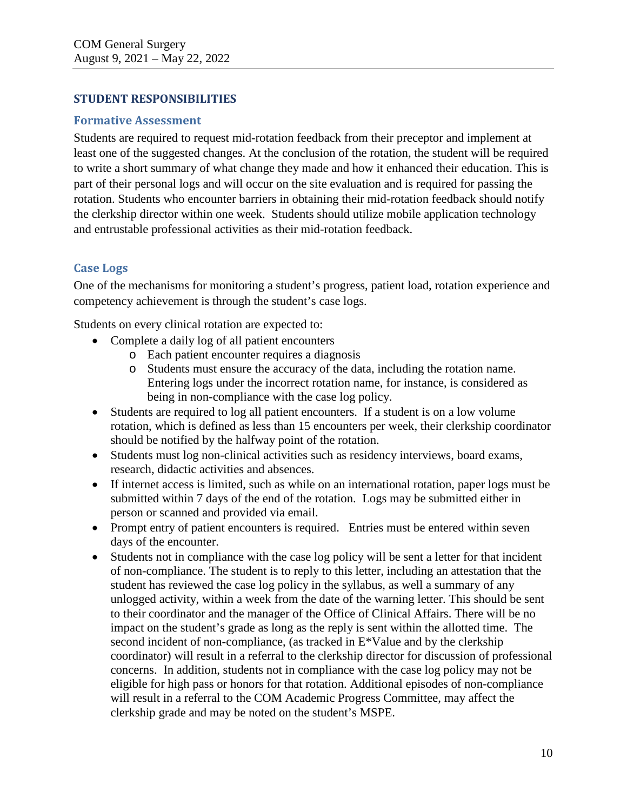#### **STUDENT RESPONSIBILITIES**

#### **Formative Assessment**

Students are required to request mid-rotation feedback from their preceptor and implement at least one of the suggested changes. At the conclusion of the rotation, the student will be required to write a short summary of what change they made and how it enhanced their education. This is part of their personal logs and will occur on the site evaluation and is required for passing the rotation. Students who encounter barriers in obtaining their mid-rotation feedback should notify the clerkship director within one week. Students should utilize mobile application technology and entrustable professional activities as their mid-rotation feedback.

#### **Case Logs**

One of the mechanisms for monitoring a student's progress, patient load, rotation experience and competency achievement is through the student's case logs.

Students on every clinical rotation are expected to:

- Complete a daily log of all patient encounters
	- o Each patient encounter requires a diagnosis
	- o Students must ensure the accuracy of the data, including the rotation name. Entering logs under the incorrect rotation name, for instance, is considered as being in non-compliance with the case log policy.
- Students are required to log all patient encounters. If a student is on a low volume rotation, which is defined as less than 15 encounters per week, their clerkship coordinator should be notified by the halfway point of the rotation.
- Students must log non-clinical activities such as residency interviews, board exams, research, didactic activities and absences.
- If internet access is limited, such as while on an international rotation, paper logs must be submitted within 7 days of the end of the rotation. Logs may be submitted either in person or scanned and provided via email.
- Prompt entry of patient encounters is required. Entries must be entered within seven days of the encounter.
- Students not in compliance with the case log policy will be sent a letter for that incident of non-compliance. The student is to reply to this letter, including an attestation that the student has reviewed the case log policy in the syllabus, as well a summary of any unlogged activity, within a week from the date of the warning letter. This should be sent to their coordinator and the manager of the Office of Clinical Affairs. There will be no impact on the student's grade as long as the reply is sent within the allotted time. The second incident of non-compliance, (as tracked in E\*Value and by the clerkship coordinator) will result in a referral to the clerkship director for discussion of professional concerns. In addition, students not in compliance with the case log policy may not be eligible for high pass or honors for that rotation. Additional episodes of non-compliance will result in a referral to the COM Academic Progress Committee, may affect the clerkship grade and may be noted on the student's MSPE.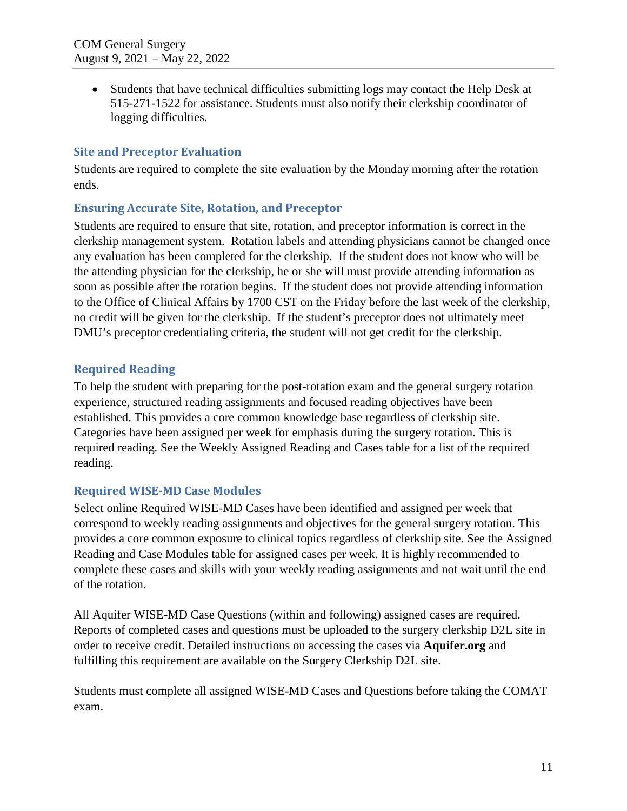• Students that have technical difficulties submitting logs may contact the Help Desk at 515-271-1522 for assistance. Students must also notify their clerkship coordinator of logging difficulties.

#### **Site and Preceptor Evaluation**

Students are required to complete the site evaluation by the Monday morning after the rotation ends.

#### **Ensuring Accurate Site, Rotation, and Preceptor**

Students are required to ensure that site, rotation, and preceptor information is correct in the clerkship management system. Rotation labels and attending physicians cannot be changed once any evaluation has been completed for the clerkship. If the student does not know who will be the attending physician for the clerkship, he or she will must provide attending information as soon as possible after the rotation begins. If the student does not provide attending information to the Office of Clinical Affairs by 1700 CST on the Friday before the last week of the clerkship, no credit will be given for the clerkship. If the student's preceptor does not ultimately meet DMU's preceptor credentialing criteria, the student will not get credit for the clerkship.

#### **Required Reading**

To help the student with preparing for the post-rotation exam and the general surgery rotation experience, structured reading assignments and focused reading objectives have been established. This provides a core common knowledge base regardless of clerkship site. Categories have been assigned per week for emphasis during the surgery rotation. This is required reading. See the Weekly Assigned Reading and Cases table for a list of the required reading.

#### **Required WISE-MD Case Modules**

Select online Required WISE-MD Cases have been identified and assigned per week that correspond to weekly reading assignments and objectives for the general surgery rotation. This provides a core common exposure to clinical topics regardless of clerkship site. See the Assigned Reading and Case Modules table for assigned cases per week. It is highly recommended to complete these cases and skills with your weekly reading assignments and not wait until the end of the rotation.

All Aquifer WISE-MD Case Questions (within and following) assigned cases are required. Reports of completed cases and questions must be uploaded to the surgery clerkship D2L site in order to receive credit. Detailed instructions on accessing the cases via **Aquifer.org** and fulfilling this requirement are available on the Surgery Clerkship D2L site.

Students must complete all assigned WISE-MD Cases and Questions before taking the COMAT exam.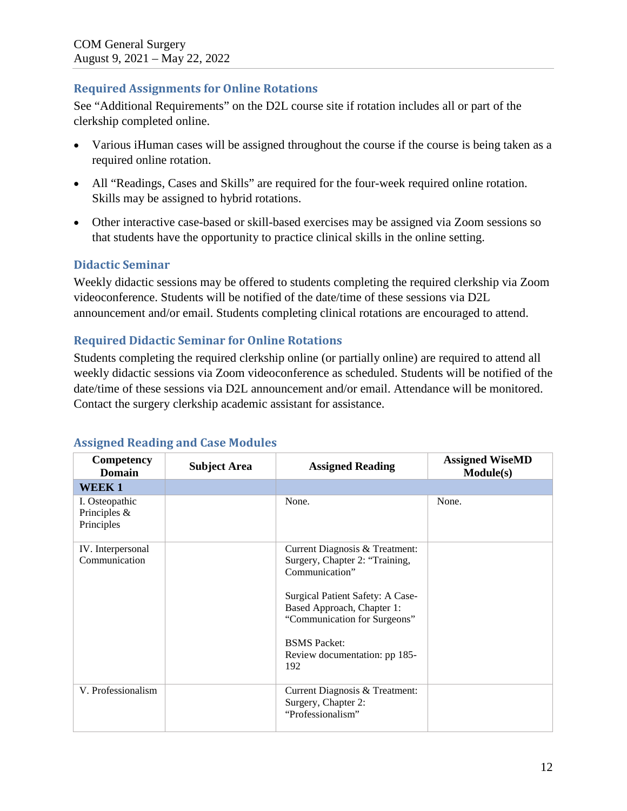#### **Required Assignments for Online Rotations**

See "Additional Requirements" on the D2L course site if rotation includes all or part of the clerkship completed online.

- Various iHuman cases will be assigned throughout the course if the course is being taken as a required online rotation.
- All "Readings, Cases and Skills" are required for the four-week required online rotation. Skills may be assigned to hybrid rotations.
- Other interactive case-based or skill-based exercises may be assigned via Zoom sessions so that students have the opportunity to practice clinical skills in the online setting.

### **Didactic Seminar**

Weekly didactic sessions may be offered to students completing the required clerkship via Zoom videoconference. Students will be notified of the date/time of these sessions via D2L announcement and/or email. Students completing clinical rotations are encouraged to attend.

### **Required Didactic Seminar for Online Rotations**

Students completing the required clerkship online (or partially online) are required to attend all weekly didactic sessions via Zoom videoconference as scheduled. Students will be notified of the date/time of these sessions via D2L announcement and/or email. Attendance will be monitored. Contact the surgery clerkship academic assistant for assistance.

| Competency<br><b>Domain</b>                    | <b>Subject Area</b> | <b>Assigned Reading</b>                                                                        | <b>Assigned WiseMD</b><br>Module(s) |
|------------------------------------------------|---------------------|------------------------------------------------------------------------------------------------|-------------------------------------|
| <b>WEEK1</b>                                   |                     |                                                                                                |                                     |
| I. Osteopathic<br>Principles $&$<br>Principles |                     | None.                                                                                          | None.                               |
| IV. Interpersonal<br>Communication             |                     | Current Diagnosis & Treatment:<br>Surgery, Chapter 2: "Training,<br>Communication"             |                                     |
|                                                |                     | Surgical Patient Safety: A Case-<br>Based Approach, Chapter 1:<br>"Communication for Surgeons" |                                     |
|                                                |                     | <b>BSMS</b> Packet:<br>Review documentation: pp 185-<br>192                                    |                                     |
| V. Professionalism                             |                     | Current Diagnosis & Treatment:<br>Surgery, Chapter 2:<br>"Professionalism"                     |                                     |

## **Assigned Reading and Case Modules**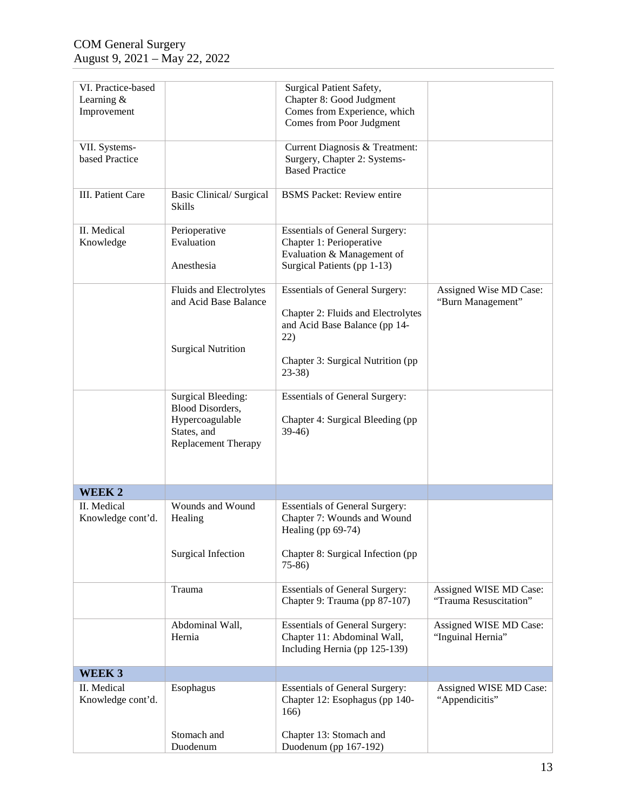| VI. Practice-based              |                                 | Surgical Patient Safety,              |                        |
|---------------------------------|---------------------------------|---------------------------------------|------------------------|
| Learning $&$                    |                                 | Chapter 8: Good Judgment              |                        |
|                                 |                                 | Comes from Experience, which          |                        |
| Improvement                     |                                 |                                       |                        |
|                                 |                                 | Comes from Poor Judgment              |                        |
|                                 |                                 | Current Diagnosis & Treatment:        |                        |
| VII. Systems-<br>based Practice |                                 |                                       |                        |
|                                 |                                 | Surgery, Chapter 2: Systems-          |                        |
|                                 |                                 | <b>Based Practice</b>                 |                        |
| <b>III.</b> Patient Care        | <b>Basic Clinical/ Surgical</b> | <b>BSMS Packet: Review entire</b>     |                        |
|                                 | Skills                          |                                       |                        |
|                                 |                                 |                                       |                        |
| II. Medical                     | Perioperative                   | <b>Essentials of General Surgery:</b> |                        |
| Knowledge                       | Evaluation                      | Chapter 1: Perioperative              |                        |
|                                 |                                 | Evaluation & Management of            |                        |
|                                 | Anesthesia                      | Surgical Patients (pp 1-13)           |                        |
|                                 |                                 |                                       |                        |
|                                 | Fluids and Electrolytes         | <b>Essentials of General Surgery:</b> | Assigned Wise MD Case: |
|                                 | and Acid Base Balance           |                                       | "Burn Management"      |
|                                 |                                 | Chapter 2: Fluids and Electrolytes    |                        |
|                                 |                                 | and Acid Base Balance (pp 14-         |                        |
|                                 |                                 | 22)                                   |                        |
|                                 | <b>Surgical Nutrition</b>       |                                       |                        |
|                                 |                                 | Chapter 3: Surgical Nutrition (pp     |                        |
|                                 |                                 | $23-38$                               |                        |
|                                 |                                 |                                       |                        |
|                                 | <b>Surgical Bleeding:</b>       | <b>Essentials of General Surgery:</b> |                        |
|                                 | <b>Blood Disorders,</b>         |                                       |                        |
|                                 | Hypercoagulable                 | Chapter 4: Surgical Bleeding (pp)     |                        |
|                                 | States, and                     | $39-46$                               |                        |
|                                 | Replacement Therapy             |                                       |                        |
|                                 |                                 |                                       |                        |
|                                 |                                 |                                       |                        |
|                                 |                                 |                                       |                        |
| <b>WEEK2</b>                    |                                 |                                       |                        |
| II. Medical                     | Wounds and Wound                | <b>Essentials of General Surgery:</b> |                        |
| Knowledge cont'd.               | Healing                         | Chapter 7: Wounds and Wound           |                        |
|                                 |                                 | Healing (pp 69-74)                    |                        |
|                                 |                                 |                                       |                        |
|                                 | Surgical Infection              | Chapter 8: Surgical Infection (pp)    |                        |
|                                 |                                 | $75-86$                               |                        |
|                                 |                                 |                                       |                        |
|                                 | Trauma                          | <b>Essentials of General Surgery:</b> | Assigned WISE MD Case: |
|                                 |                                 | Chapter 9: Trauma (pp 87-107)         | "Trauma Resuscitation" |
|                                 |                                 |                                       |                        |
|                                 | Abdominal Wall,                 | <b>Essentials of General Surgery:</b> | Assigned WISE MD Case: |
|                                 | Hernia                          | Chapter 11: Abdominal Wall,           | "Inguinal Hernia"      |
|                                 |                                 | Including Hernia (pp 125-139)         |                        |
| WEEK 3                          |                                 |                                       |                        |
| II. Medical                     | Esophagus                       | <b>Essentials of General Surgery:</b> | Assigned WISE MD Case: |
| Knowledge cont'd.               |                                 | Chapter 12: Esophagus (pp 140-        | "Appendicitis"         |
|                                 |                                 | 166)                                  |                        |
|                                 |                                 |                                       |                        |
|                                 | Stomach and                     | Chapter 13: Stomach and               |                        |
|                                 | Duodenum                        | Duodenum (pp 167-192)                 |                        |
|                                 |                                 |                                       |                        |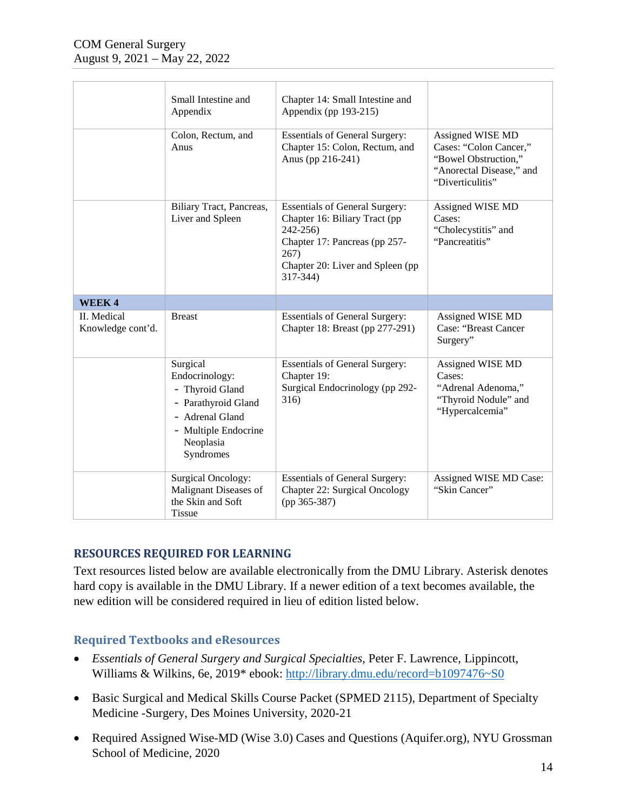|                                  | Small Intestine and<br>Appendix                                                                                                           | Chapter 14: Small Intestine and<br>Appendix (pp 193-215)                                                                                                                       |                                                                                                                    |
|----------------------------------|-------------------------------------------------------------------------------------------------------------------------------------------|--------------------------------------------------------------------------------------------------------------------------------------------------------------------------------|--------------------------------------------------------------------------------------------------------------------|
|                                  | Colon, Rectum, and<br>Anus                                                                                                                | <b>Essentials of General Surgery:</b><br>Chapter 15: Colon, Rectum, and<br>Anus (pp 216-241)                                                                                   | Assigned WISE MD<br>Cases: "Colon Cancer,"<br>"Bowel Obstruction,"<br>"Anorectal Disease," and<br>"Diverticulitis" |
|                                  | Biliary Tract, Pancreas,<br>Liver and Spleen                                                                                              | <b>Essentials of General Surgery:</b><br>Chapter 16: Biliary Tract (pp<br>$242 - 256$<br>Chapter 17: Pancreas (pp 257-<br>267)<br>Chapter 20: Liver and Spleen (pp<br>317-344) | Assigned WISE MD<br>Cases:<br>"Cholecystitis" and<br>"Pancreatitis"                                                |
| WEEK4                            |                                                                                                                                           |                                                                                                                                                                                |                                                                                                                    |
| II. Medical<br>Knowledge cont'd. | <b>Breast</b>                                                                                                                             | <b>Essentials of General Surgery:</b><br>Chapter 18: Breast (pp 277-291)                                                                                                       | Assigned WISE MD<br><b>Case: "Breast Cancer</b><br>Surgery"                                                        |
|                                  | Surgical<br>Endocrinology:<br>- Thyroid Gland<br>- Parathyroid Gland<br>- Adrenal Gland<br>- Multiple Endocrine<br>Neoplasia<br>Syndromes | <b>Essentials of General Surgery:</b><br>Chapter 19:<br>Surgical Endocrinology (pp 292-<br>316)                                                                                | Assigned WISE MD<br>Cases:<br>"Adrenal Adenoma,"<br>"Thyroid Nodule" and<br>"Hypercalcemia"                        |
|                                  | <b>Surgical Oncology:</b><br>Malignant Diseases of<br>the Skin and Soft<br><b>Tissue</b>                                                  | <b>Essentials of General Surgery:</b><br>Chapter 22: Surgical Oncology<br>$(pp 365-387)$                                                                                       | Assigned WISE MD Case:<br>"Skin Cancer"                                                                            |

#### **RESOURCES REQUIRED FOR LEARNING**

Text resources listed below are available electronically from the DMU Library. Asterisk denotes hard copy is available in the DMU Library. If a newer edition of a text becomes available, the new edition will be considered required in lieu of edition listed below.

#### **Required Textbooks and eResources**

- *Essentials of General Surgery and Surgical Specialties,* Peter F. Lawrence, Lippincott, Williams & Wilkins, 6e, 2019\* ebook: http://library.dmu.edu/record=b1097476~S0
- Basic Surgical and Medical Skills Course Packet (SPMED 2115), Department of Specialty Medicine -Surgery, Des Moines University, 2020-21
- Required Assigned Wise-MD (Wise 3.0) Cases and Questions (Aquifer.org), NYU Grossman School of Medicine, 2020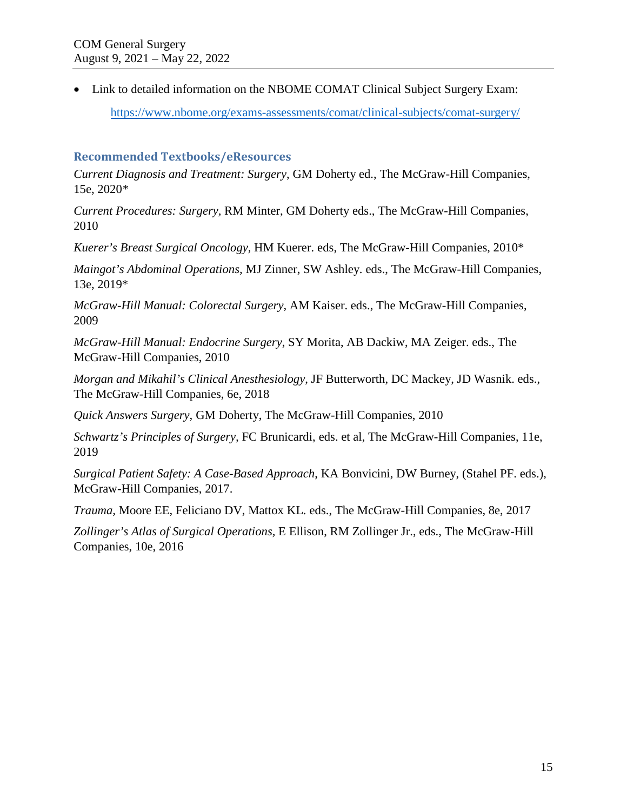• Link to detailed information on the NBOME COMAT Clinical Subject Surgery Exam: <https://www.nbome.org/exams-assessments/comat/clinical-subjects/comat-surgery/>

#### **Recommended Textbooks/eResources**

*Current Diagnosis and Treatment: Surgery*, GM Doherty ed., The McGraw-Hill Companies, 15e, 2020*\** 

*Current Procedures: Surgery,* RM Minter, GM Doherty eds., The McGraw-Hill Companies, 2010

*Kuerer's Breast Surgical Oncology,* HM Kuerer. eds, The McGraw-Hill Companies, 2010\*

*Maingot's Abdominal Operations,* MJ Zinner, SW Ashley. eds., The McGraw-Hill Companies, 13e, 2019\*

*McGraw-Hill Manual: Colorectal Surgery,* AM Kaiser. eds., The McGraw-Hill Companies, 2009

*McGraw-Hill Manual: Endocrine Surgery*, SY Morita, AB Dackiw, MA Zeiger. eds., The McGraw-Hill Companies, 2010

*Morgan and Mikahil's Clinical Anesthesiology*, JF Butterworth, DC Mackey, JD Wasnik. eds., The McGraw-Hill Companies, 6e, 2018

*Quick Answers Surgery,* GM Doherty, The McGraw-Hill Companies, 2010

*Schwartz's Principles of Surgery,* FC Brunicardi, eds. et al, The McGraw-Hill Companies, 11e, 2019

*Surgical Patient Safety: A Case-Based Approach*, KA Bonvicini, DW Burney, (Stahel PF. eds.), McGraw-Hill Companies, 2017.

*Trauma,* Moore EE, Feliciano DV, Mattox KL. eds., The McGraw-Hill Companies, 8e, 2017

*Zollinger's Atlas of Surgical Operations,* E Ellison, RM Zollinger Jr., eds., The McGraw-Hill Companies, 10e, 2016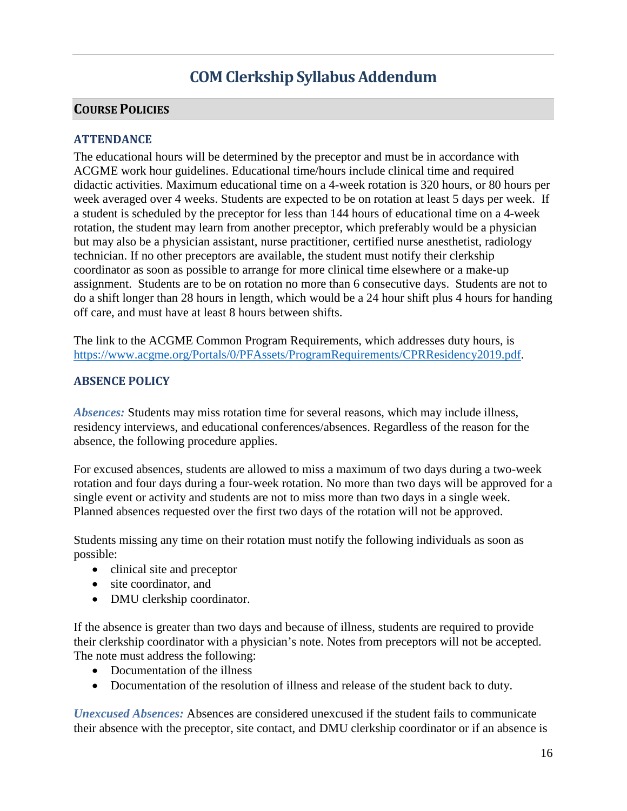# **COM Clerkship Syllabus Addendum**

#### **COURSE POLICIES**

#### **ATTENDANCE**

The educational hours will be determined by the preceptor and must be in accordance with ACGME work hour guidelines. Educational time/hours include clinical time and required didactic activities. Maximum educational time on a 4-week rotation is 320 hours, or 80 hours per week averaged over 4 weeks. Students are expected to be on rotation at least 5 days per week. If a student is scheduled by the preceptor for less than 144 hours of educational time on a 4-week rotation, the student may learn from another preceptor, which preferably would be a physician but may also be a physician assistant, nurse practitioner, certified nurse anesthetist, radiology technician. If no other preceptors are available, the student must notify their clerkship coordinator as soon as possible to arrange for more clinical time elsewhere or a make-up assignment. Students are to be on rotation no more than 6 consecutive days. Students are not to do a shift longer than 28 hours in length, which would be a 24 hour shift plus 4 hours for handing off care, and must have at least 8 hours between shifts.

The link to the ACGME Common Program Requirements, which addresses duty hours, is [https://www.acgme.org/Portals/0/PFAssets/ProgramRequirements/CPRResidency2019.pdf.](https://www.acgme.org/Portals/0/PFAssets/ProgramRequirements/CPRResidency2019.pdf)

#### **ABSENCE POLICY**

*Absences:* Students may miss rotation time for several reasons, which may include illness, residency interviews, and educational conferences/absences. Regardless of the reason for the absence, the following procedure applies.

For excused absences, students are allowed to miss a maximum of two days during a two-week rotation and four days during a four-week rotation. No more than two days will be approved for a single event or activity and students are not to miss more than two days in a single week. Planned absences requested over the first two days of the rotation will not be approved.

Students missing any time on their rotation must notify the following individuals as soon as possible:

- clinical site and preceptor
- site coordinator, and
- DMU clerkship coordinator.

If the absence is greater than two days and because of illness, students are required to provide their clerkship coordinator with a physician's note. Notes from preceptors will not be accepted. The note must address the following:

- Documentation of the illness
- Documentation of the resolution of illness and release of the student back to duty.

*Unexcused Absences:* Absences are considered unexcused if the student fails to communicate their absence with the preceptor, site contact, and DMU clerkship coordinator or if an absence is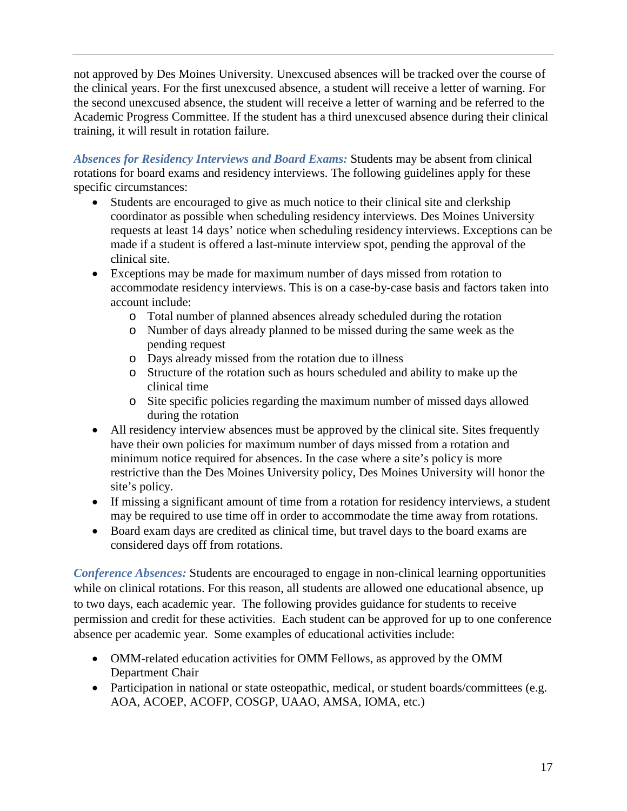not approved by Des Moines University. Unexcused absences will be tracked over the course of the clinical years. For the first unexcused absence, a student will receive a letter of warning. For the second unexcused absence, the student will receive a letter of warning and be referred to the Academic Progress Committee. If the student has a third unexcused absence during their clinical training, it will result in rotation failure.

*Absences for Residency Interviews and Board Exams:* Students may be absent from clinical rotations for board exams and residency interviews. The following guidelines apply for these specific circumstances:

- Students are encouraged to give as much notice to their clinical site and clerkship coordinator as possible when scheduling residency interviews. Des Moines University requests at least 14 days' notice when scheduling residency interviews. Exceptions can be made if a student is offered a last-minute interview spot, pending the approval of the clinical site.
- Exceptions may be made for maximum number of days missed from rotation to accommodate residency interviews. This is on a case-by-case basis and factors taken into account include:
	- o Total number of planned absences already scheduled during the rotation
	- o Number of days already planned to be missed during the same week as the pending request
	- o Days already missed from the rotation due to illness
	- o Structure of the rotation such as hours scheduled and ability to make up the clinical time
	- o Site specific policies regarding the maximum number of missed days allowed during the rotation
- All residency interview absences must be approved by the clinical site. Sites frequently have their own policies for maximum number of days missed from a rotation and minimum notice required for absences. In the case where a site's policy is more restrictive than the Des Moines University policy, Des Moines University will honor the site's policy.
- If missing a significant amount of time from a rotation for residency interviews, a student may be required to use time off in order to accommodate the time away from rotations.
- Board exam days are credited as clinical time, but travel days to the board exams are considered days off from rotations.

*Conference Absences:* Students are encouraged to engage in non-clinical learning opportunities while on clinical rotations. For this reason, all students are allowed one educational absence, up to two days, each academic year. The following provides guidance for students to receive permission and credit for these activities. Each student can be approved for up to one conference absence per academic year. Some examples of educational activities include:

- OMM-related education activities for OMM Fellows, as approved by the OMM Department Chair
- Participation in national or state osteopathic, medical, or student boards/committees (e.g. AOA, ACOEP, ACOFP, COSGP, UAAO, AMSA, IOMA, etc.)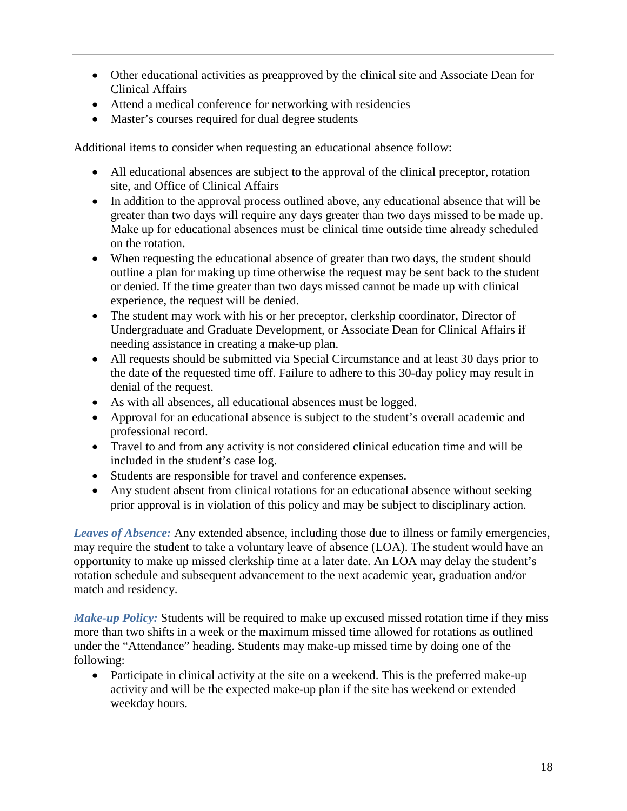- Other educational activities as preapproved by the clinical site and Associate Dean for Clinical Affairs
- Attend a medical conference for networking with residencies
- Master's courses required for dual degree students

Additional items to consider when requesting an educational absence follow:

- All educational absences are subject to the approval of the clinical preceptor, rotation site, and Office of Clinical Affairs
- In addition to the approval process outlined above, any educational absence that will be greater than two days will require any days greater than two days missed to be made up. Make up for educational absences must be clinical time outside time already scheduled on the rotation.
- When requesting the educational absence of greater than two days, the student should outline a plan for making up time otherwise the request may be sent back to the student or denied. If the time greater than two days missed cannot be made up with clinical experience, the request will be denied.
- The student may work with his or her preceptor, clerkship coordinator, Director of Undergraduate and Graduate Development, or Associate Dean for Clinical Affairs if needing assistance in creating a make-up plan.
- All requests should be submitted via Special Circumstance and at least 30 days prior to the date of the requested time off. Failure to adhere to this 30-day policy may result in denial of the request.
- As with all absences, all educational absences must be logged.
- Approval for an educational absence is subject to the student's overall academic and professional record.
- Travel to and from any activity is not considered clinical education time and will be included in the student's case log.
- Students are responsible for travel and conference expenses.
- Any student absent from clinical rotations for an educational absence without seeking prior approval is in violation of this policy and may be subject to disciplinary action.

*Leaves of Absence:* Any extended absence, including those due to illness or family emergencies, may require the student to take a voluntary leave of absence (LOA). The student would have an opportunity to make up missed clerkship time at a later date. An LOA may delay the student's rotation schedule and subsequent advancement to the next academic year, graduation and/or match and residency.

*Make-up Policy:* Students will be required to make up excused missed rotation time if they miss more than two shifts in a week or the maximum missed time allowed for rotations as outlined under the "Attendance" heading. Students may make-up missed time by doing one of the following:

• Participate in clinical activity at the site on a weekend. This is the preferred make-up activity and will be the expected make-up plan if the site has weekend or extended weekday hours.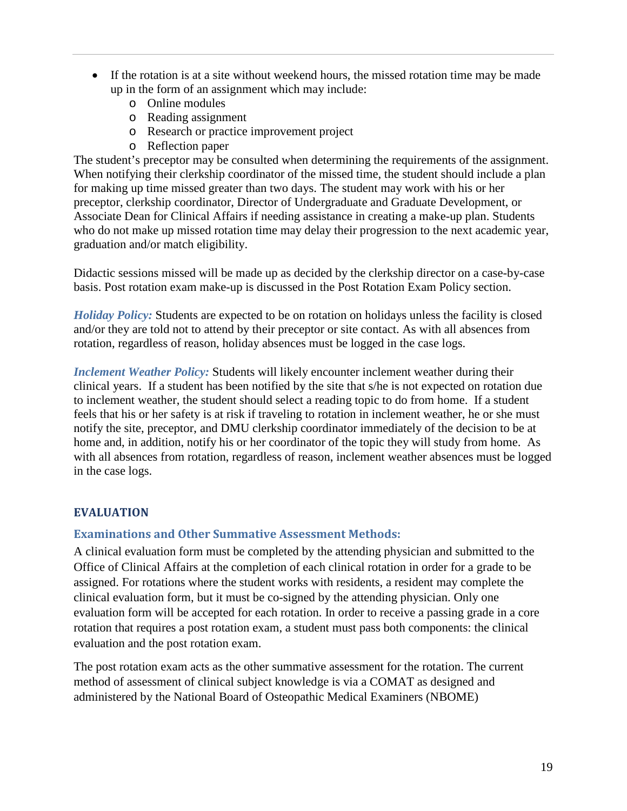- If the rotation is at a site without weekend hours, the missed rotation time may be made up in the form of an assignment which may include:
	- o Online modules
	- o Reading assignment
	- o Research or practice improvement project
	- o Reflection paper

The student's preceptor may be consulted when determining the requirements of the assignment. When notifying their clerkship coordinator of the missed time, the student should include a plan for making up time missed greater than two days. The student may work with his or her preceptor, clerkship coordinator, Director of Undergraduate and Graduate Development, or Associate Dean for Clinical Affairs if needing assistance in creating a make-up plan. Students who do not make up missed rotation time may delay their progression to the next academic year, graduation and/or match eligibility.

Didactic sessions missed will be made up as decided by the clerkship director on a case-by-case basis. Post rotation exam make-up is discussed in the Post Rotation Exam Policy section.

*Holiday Policy:* Students are expected to be on rotation on holidays unless the facility is closed and/or they are told not to attend by their preceptor or site contact. As with all absences from rotation, regardless of reason, holiday absences must be logged in the case logs.

*Inclement Weather Policy:* Students will likely encounter inclement weather during their clinical years. If a student has been notified by the site that s/he is not expected on rotation due to inclement weather, the student should select a reading topic to do from home. If a student feels that his or her safety is at risk if traveling to rotation in inclement weather, he or she must notify the site, preceptor, and DMU clerkship coordinator immediately of the decision to be at home and, in addition, notify his or her coordinator of the topic they will study from home. As with all absences from rotation, regardless of reason, inclement weather absences must be logged in the case logs.

#### **EVALUATION**

#### **Examinations and Other Summative Assessment Methods:**

A clinical evaluation form must be completed by the attending physician and submitted to the Office of Clinical Affairs at the completion of each clinical rotation in order for a grade to be assigned. For rotations where the student works with residents, a resident may complete the clinical evaluation form, but it must be co-signed by the attending physician. Only one evaluation form will be accepted for each rotation. In order to receive a passing grade in a core rotation that requires a post rotation exam, a student must pass both components: the clinical evaluation and the post rotation exam.

The post rotation exam acts as the other summative assessment for the rotation. The current method of assessment of clinical subject knowledge is via a COMAT as designed and administered by the National Board of Osteopathic Medical Examiners (NBOME)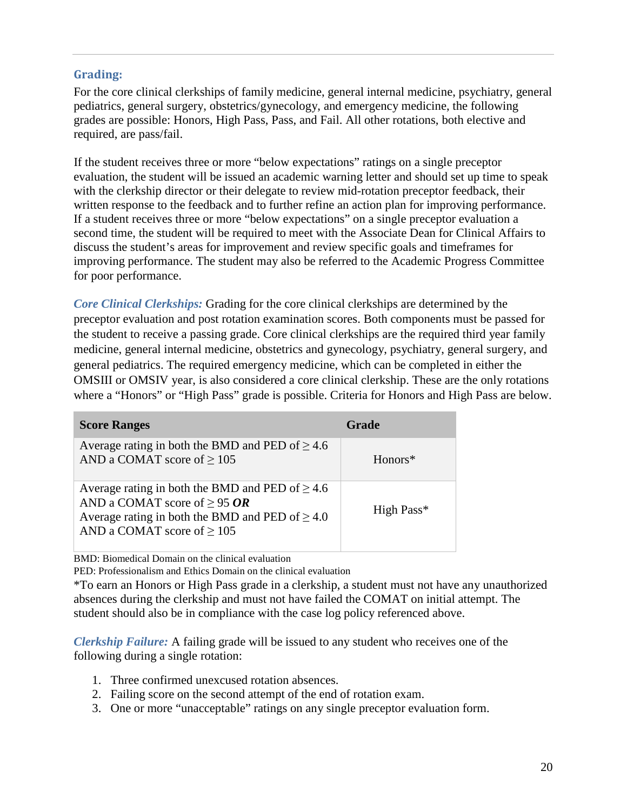#### **Grading:**

For the core clinical clerkships of family medicine, general internal medicine, psychiatry, general pediatrics, general surgery, obstetrics/gynecology, and emergency medicine, the following grades are possible: Honors, High Pass, Pass, and Fail. All other rotations, both elective and required, are pass/fail.

If the student receives three or more "below expectations" ratings on a single preceptor evaluation, the student will be issued an academic warning letter and should set up time to speak with the clerkship director or their delegate to review mid-rotation preceptor feedback, their written response to the feedback and to further refine an action plan for improving performance. If a student receives three or more "below expectations" on a single preceptor evaluation a second time, the student will be required to meet with the Associate Dean for Clinical Affairs to discuss the student's areas for improvement and review specific goals and timeframes for improving performance. The student may also be referred to the Academic Progress Committee for poor performance.

*Core Clinical Clerkships:* Grading for the core clinical clerkships are determined by the preceptor evaluation and post rotation examination scores. Both components must be passed for the student to receive a passing grade. Core clinical clerkships are the required third year family medicine, general internal medicine, obstetrics and gynecology, psychiatry, general surgery, and general pediatrics. The required emergency medicine, which can be completed in either the OMSIII or OMSIV year, is also considered a core clinical clerkship. These are the only rotations where a "Honors" or "High Pass" grade is possible. Criteria for Honors and High Pass are below.

| <b>Score Ranges</b>                                                                                                                                                                  | <b>Grade</b> |
|--------------------------------------------------------------------------------------------------------------------------------------------------------------------------------------|--------------|
| Average rating in both the BMD and PED of $\geq 4.6$<br>AND a COMAT score of $\geq$ 105                                                                                              | Honors*      |
| Average rating in both the BMD and PED of $\geq 4.6$<br>AND a COMAT score of $\geq$ 95 OR<br>Average rating in both the BMD and PED of $\geq 4.0$<br>AND a COMAT score of $\geq 105$ | High Pass*   |

BMD: Biomedical Domain on the clinical evaluation

PED: Professionalism and Ethics Domain on the clinical evaluation

\*To earn an Honors or High Pass grade in a clerkship, a student must not have any unauthorized absences during the clerkship and must not have failed the COMAT on initial attempt. The student should also be in compliance with the case log policy referenced above.

*Clerkship Failure:* A failing grade will be issued to any student who receives one of the following during a single rotation:

- 1. Three confirmed unexcused rotation absences.
- 2. Failing score on the second attempt of the end of rotation exam.
- 3. One or more "unacceptable" ratings on any single preceptor evaluation form.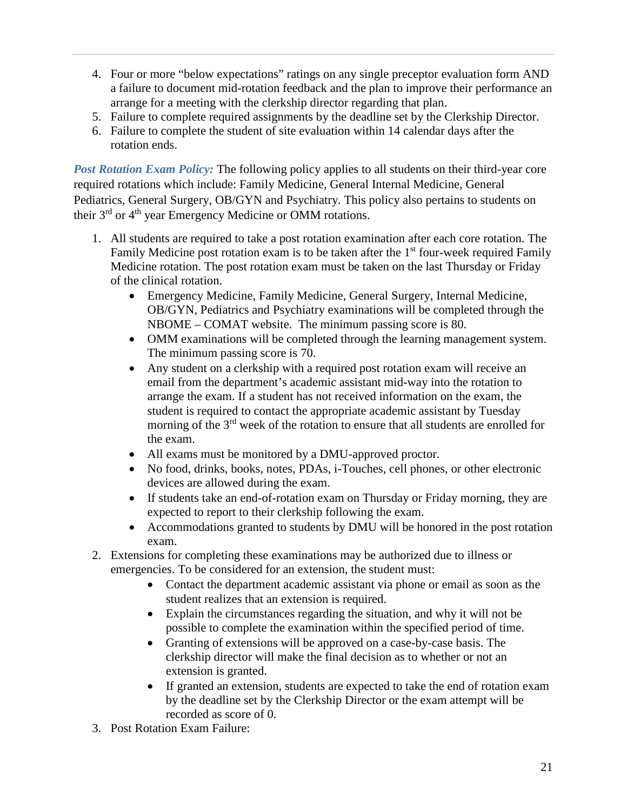- 4. Four or more "below expectations" ratings on any single preceptor evaluation form AND a failure to document mid-rotation feedback and the plan to improve their performance an arrange for a meeting with the clerkship director regarding that plan.
- 5. Failure to complete required assignments by the deadline set by the Clerkship Director.
- 6. Failure to complete the student of site evaluation within 14 calendar days after the rotation ends.

*Post Rotation Exam Policy:* The following policy applies to all students on their third-year core required rotations which include: Family Medicine, General Internal Medicine, General Pediatrics, General Surgery, OB/GYN and Psychiatry. This policy also pertains to students on their 3<sup>rd</sup> or 4<sup>th</sup> year Emergency Medicine or OMM rotations.

- 1. All students are required to take a post rotation examination after each core rotation. The Family Medicine post rotation exam is to be taken after the  $1<sup>st</sup>$  four-week required Family Medicine rotation. The post rotation exam must be taken on the last Thursday or Friday of the clinical rotation.
	- Emergency Medicine, Family Medicine, General Surgery, Internal Medicine, OB/GYN, Pediatrics and Psychiatry examinations will be completed through the NBOME – COMAT website. The minimum passing score is 80.
	- OMM examinations will be completed through the learning management system. The minimum passing score is 70.
	- Any student on a clerkship with a required post rotation exam will receive an email from the department's academic assistant mid-way into the rotation to arrange the exam. If a student has not received information on the exam, the student is required to contact the appropriate academic assistant by Tuesday morning of the 3<sup>rd</sup> week of the rotation to ensure that all students are enrolled for the exam.
	- All exams must be monitored by a DMU-approved proctor.
	- No food, drinks, books, notes, PDAs, i-Touches, cell phones, or other electronic devices are allowed during the exam.
	- If students take an end-of-rotation exam on Thursday or Friday morning, they are expected to report to their clerkship following the exam.
	- Accommodations granted to students by DMU will be honored in the post rotation exam.
- 2. Extensions for completing these examinations may be authorized due to illness or emergencies. To be considered for an extension, the student must:
	- Contact the department academic assistant via phone or email as soon as the student realizes that an extension is required.
	- Explain the circumstances regarding the situation, and why it will not be possible to complete the examination within the specified period of time.
	- Granting of extensions will be approved on a case-by-case basis. The clerkship director will make the final decision as to whether or not an extension is granted.
	- If granted an extension, students are expected to take the end of rotation exam by the deadline set by the Clerkship Director or the exam attempt will be recorded as score of 0.
- 3. Post Rotation Exam Failure: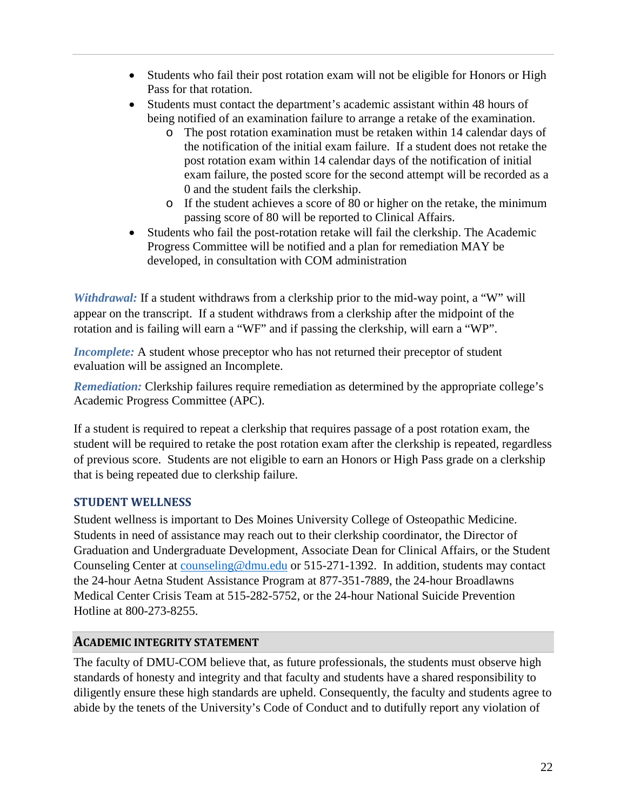- Students who fail their post rotation exam will not be eligible for Honors or High Pass for that rotation.
- Students must contact the department's academic assistant within 48 hours of being notified of an examination failure to arrange a retake of the examination.
	- o The post rotation examination must be retaken within 14 calendar days of the notification of the initial exam failure. If a student does not retake the post rotation exam within 14 calendar days of the notification of initial exam failure, the posted score for the second attempt will be recorded as a 0 and the student fails the clerkship.
	- o If the student achieves a score of 80 or higher on the retake, the minimum passing score of 80 will be reported to Clinical Affairs.
- Students who fail the post-rotation retake will fail the clerkship. The Academic Progress Committee will be notified and a plan for remediation MAY be developed, in consultation with COM administration

*Withdrawal:* If a student withdraws from a clerkship prior to the mid-way point, a "W" will appear on the transcript. If a student withdraws from a clerkship after the midpoint of the rotation and is failing will earn a "WF" and if passing the clerkship, will earn a "WP".

*Incomplete:* A student whose preceptor who has not returned their preceptor of student evaluation will be assigned an Incomplete.

*Remediation:* Clerkship failures require remediation as determined by the appropriate college's Academic Progress Committee (APC).

If a student is required to repeat a clerkship that requires passage of a post rotation exam, the student will be required to retake the post rotation exam after the clerkship is repeated, regardless of previous score. Students are not eligible to earn an Honors or High Pass grade on a clerkship that is being repeated due to clerkship failure.

### **STUDENT WELLNESS**

Student wellness is important to Des Moines University College of Osteopathic Medicine. Students in need of assistance may reach out to their clerkship coordinator, the Director of Graduation and Undergraduate Development, Associate Dean for Clinical Affairs, or the Student Counseling Center at [counseling@dmu.edu](mailto:counseling@dmu.edu) or 515-271-1392. In addition, students may contact the 24-hour Aetna Student Assistance Program at 877-351-7889, the 24-hour Broadlawns Medical Center Crisis Team at 515-282-5752, or the 24-hour National Suicide Prevention Hotline at 800-273-8255.

#### **ACADEMIC INTEGRITY STATEMENT**

The faculty of DMU-COM believe that, as future professionals, the students must observe high standards of honesty and integrity and that faculty and students have a shared responsibility to diligently ensure these high standards are upheld. Consequently, the faculty and students agree to abide by the tenets of the University's Code of Conduct and to dutifully report any violation of